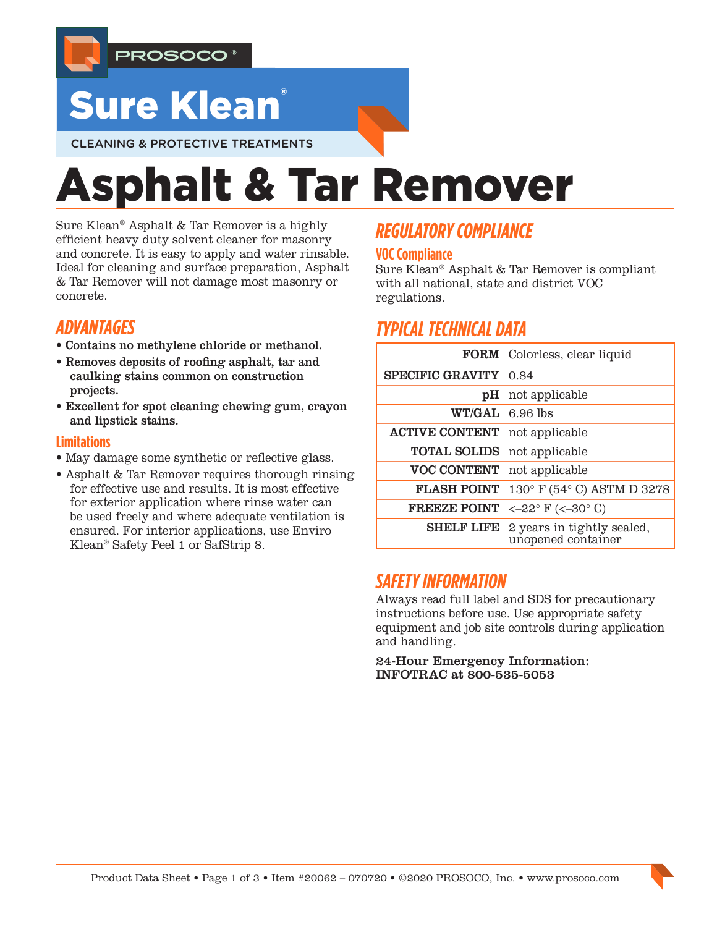

# **Sure Klean**

CLEANING & PROTECTIVE TREATMENTS

# Asphalt & Tar Remover

Sure Klean® Asphalt & Tar Remover is a highly efficient heavy duty solvent cleaner for masonry and concrete. It is easy to apply and water rinsable. Ideal for cleaning and surface preparation, Asphalt & Tar Remover will not damage most masonry or concrete.

## *ADVANTAGES*

- Contains no methylene chloride or methanol.
- Removes deposits of roofing asphalt, tar and caulking stains common on construction projects.
- Excellent for spot cleaning chewing gum, crayon and lipstick stains.

#### **Limitations**

- May damage some synthetic or reflective glass.
- Asphalt & Tar Remover requires thorough rinsing for effective use and results. It is most effective for exterior application where rinse water can be used freely and where adequate ventilation is ensured. For interior applications, use Enviro Klean® Safety Peel 1 or SafStrip 8.

## *REGULATORY COMPLIANCE*

#### **VOC Compliance**

Sure Klean® Asphalt & Tar Remover is compliant with all national, state and district VOC regulations.

## *TYPICAL TECHNICAL DATA*

| <b>FORM</b>             | Colorless, clear liquid                          |  |  |
|-------------------------|--------------------------------------------------|--|--|
| <b>SPECIFIC GRAVITY</b> | 0.84                                             |  |  |
| рH                      | not applicable                                   |  |  |
| <b>WT/GAL</b>           | $6.96$ lbs                                       |  |  |
| <b>ACTIVE CONTENT</b>   | not applicable                                   |  |  |
| <b>TOTAL SOLIDS</b>     | not applicable                                   |  |  |
| <b>VOC CONTENT</b>      | not applicable                                   |  |  |
| <b>FLASH POINT</b>      | 130° F (54° C) ASTM D 3278                       |  |  |
| <b>FREEZE POINT</b>     | $<-22^{\circ}$ F ( $<-30^{\circ}$ C)             |  |  |
| <b>SHELF LIFE</b>       | 2 years in tightly sealed,<br>unopened container |  |  |

## *SAFETY INFORMATION*

Always read full label and SDS for precautionary instructions before use. Use appropriate safety equipment and job site controls during application and handling.

24-Hour Emergency Information: INFOTRAC at 800-535-5053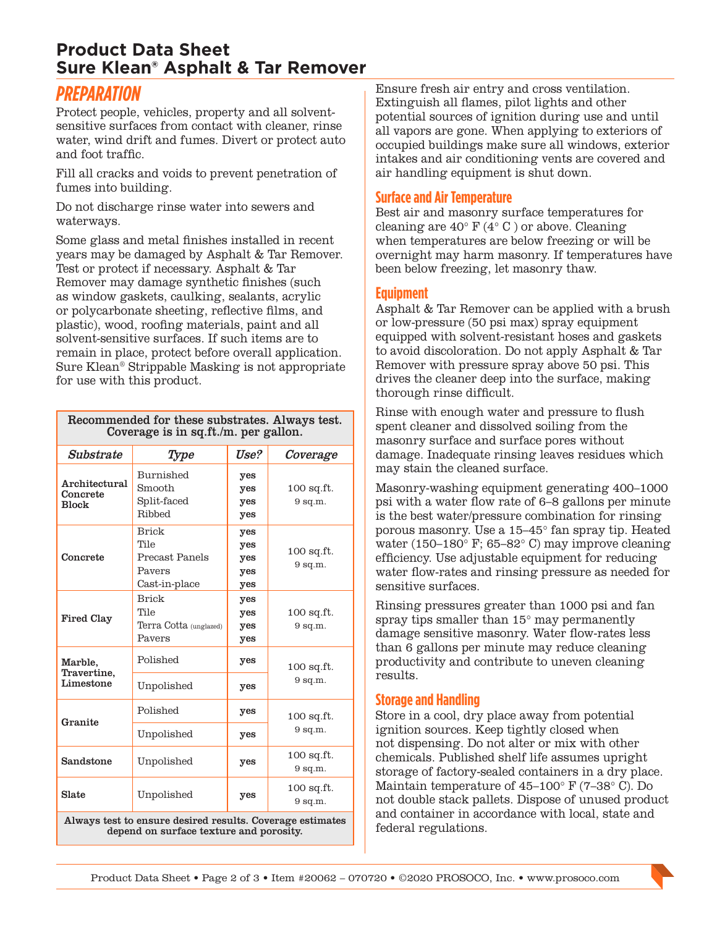### **Product Data Sheet Sure Klean® Asphalt & Tar Remover**

## *PREPARATION*

Protect people, vehicles, property and all solventsensitive surfaces from contact with cleaner, rinse water, wind drift and fumes. Divert or protect auto and foot traffic.

Fill all cracks and voids to prevent penetration of fumes into building.

Do not discharge rinse water into sewers and waterways.

Some glass and metal finishes installed in recent years may be damaged by Asphalt & Tar Remover. Test or protect if necessary. Asphalt & Tar Remover may damage synthetic finishes (such as window gaskets, caulking, sealants, acrylic or polycarbonate sheeting, reflective films, and plastic), wood, roofing materials, paint and all solvent-sensitive surfaces. If such items are to remain in place, protect before overall application. Sure Klean® Strippable Masking is not appropriate for use with this product.

Recommended for these substrates. Always test.

| $\mu$ and $\mu$ and $\mu$ and $\mu$ and $\mu$ and $\mu$ and $\mu$ and $\mu$ and $\mu$<br>Coverage is in sq.ft./m. per gallon. |                                                                   |                                 |                           |
|-------------------------------------------------------------------------------------------------------------------------------|-------------------------------------------------------------------|---------------------------------|---------------------------|
| Substrate                                                                                                                     | Type                                                              | Use?                            | Coverage                  |
| Architectural<br>Concrete<br><b>Block</b>                                                                                     | Burnished<br>Smooth<br>Split-faced<br>Ribbed                      | yes<br>yes<br>yes<br>yes        | $100$ sq.ft.<br>$9$ sq.m. |
| Concrete                                                                                                                      | <b>Brick</b><br>Tile<br>Precast Panels<br>Payers<br>Cast-in-place | yes<br>yes<br>yes<br>yes<br>yes | $100$ sq.ft.<br>$9$ sq.m. |
| <b>Fired Clay</b>                                                                                                             | <b>Brick</b><br>Tile<br>Terra Cotta (unglazed)<br>Pavers          | yes<br>yes<br>yes<br>yes        | $100$ sq.ft.<br>$9$ sq.m. |
| Marble,<br>Travertine,<br>Limestone                                                                                           | Polished                                                          | yes                             | $100$ sq.ft.<br>$9$ sq.m. |
|                                                                                                                               | Unpolished                                                        | yes                             |                           |
| Granite                                                                                                                       | Polished                                                          | yes                             | $100$ sq.ft.<br>$9$ sq.m. |
|                                                                                                                               | Unpolished                                                        | yes                             |                           |
| Sandstone                                                                                                                     | Unpolished                                                        | yes                             | $100$ sq.ft.<br>$9$ sq.m. |
| Slate                                                                                                                         | Unpolished                                                        | yes                             | $100$ sq.ft.<br>$9$ sq.m. |
| Always test to ensure desired results. Coverage estimates<br>depend on surface texture and porosity.                          |                                                                   |                                 |                           |

Ensure fresh air entry and cross ventilation. Extinguish all flames, pilot lights and other potential sources of ignition during use and until all vapors are gone. When applying to exteriors of occupied buildings make sure all windows, exterior intakes and air conditioning vents are covered and air handling equipment is shut down.

#### **Surface and Air Temperature**

Best air and masonry surface temperatures for cleaning are  $40^{\circ}$  F ( $4^{\circ}$  C) or above. Cleaning when temperatures are below freezing or will be overnight may harm masonry. If temperatures have been below freezing, let masonry thaw.

#### **Equipment**

Asphalt & Tar Remover can be applied with a brush or low-pressure (50 psi max) spray equipment equipped with solvent-resistant hoses and gaskets to avoid discoloration. Do not apply Asphalt & Tar Remover with pressure spray above 50 psi. This drives the cleaner deep into the surface, making thorough rinse difficult.

Rinse with enough water and pressure to flush spent cleaner and dissolved soiling from the masonry surface and surface pores without damage. Inadequate rinsing leaves residues which may stain the cleaned surface.

Masonry-washing equipment generating 400–1000 psi with a water flow rate of 6–8 gallons per minute is the best water/pressure combination for rinsing porous masonry. Use a 15–45° fan spray tip. Heated water (150–180° F; 65–82° C) may improve cleaning efficiency. Use adjustable equipment for reducing water flow-rates and rinsing pressure as needed for sensitive surfaces.

Rinsing pressures greater than 1000 psi and fan spray tips smaller than 15° may permanently damage sensitive masonry. Water flow-rates less than 6 gallons per minute may reduce cleaning productivity and contribute to uneven cleaning results.

#### **Storage and Handling**

Store in a cool, dry place away from potential ignition sources. Keep tightly closed when not dispensing. Do not alter or mix with other chemicals. Published shelf life assumes upright storage of factory-sealed containers in a dry place. Maintain temperature of 45–100° F (7–38° C). Do not double stack pallets. Dispose of unused product and container in accordance with local, state and federal regulations.